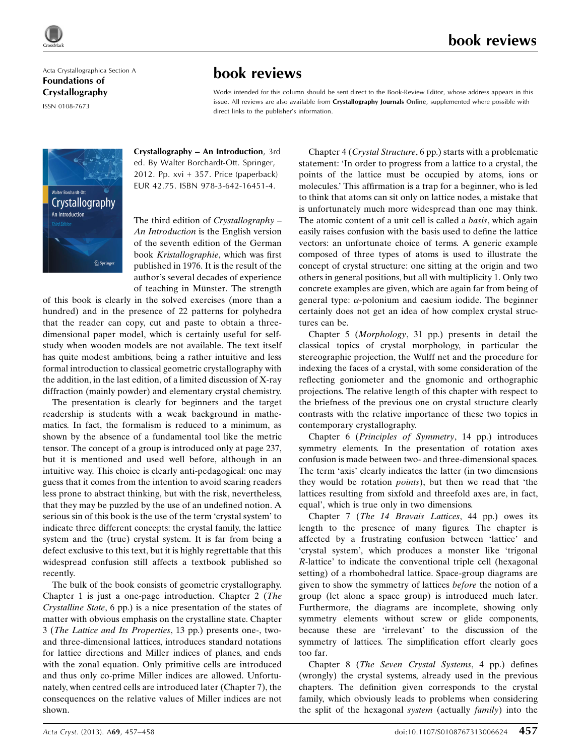Acta Crystallographica Section A Foundations of Crystallography ISSN 0108-7673

## book reviews

Works intended for this column should be sent direct to the Book-Review Editor, whose address appears in this issue. All reviews are also available from Crystallography Journals Online, supplemented where possible with direct links to the publisher's information.



Crystallography – An Introduction, 3rd ed. By Walter Borchardt-Ott. Springer, 2012. Pp. xvi + 357. Price (paperback) EUR 42.75. ISBN 978-3-642-16451-4.

The third edition of Crystallography – An Introduction is the English version of the seventh edition of the German book Kristallographie, which was first published in 1976. It is the result of the author's several decades of experience of teaching in Münster. The strength

of this book is clearly in the solved exercises (more than a hundred) and in the presence of 22 patterns for polyhedra that the reader can copy, cut and paste to obtain a threedimensional paper model, which is certainly useful for selfstudy when wooden models are not available. The text itself has quite modest ambitions, being a rather intuitive and less formal introduction to classical geometric crystallography with the addition, in the last edition, of a limited discussion of X-ray diffraction (mainly powder) and elementary crystal chemistry.

The presentation is clearly for beginners and the target readership is students with a weak background in mathematics. In fact, the formalism is reduced to a minimum, as shown by the absence of a fundamental tool like the metric tensor. The concept of a group is introduced only at page 237, but it is mentioned and used well before, although in an intuitive way. This choice is clearly anti-pedagogical: one may guess that it comes from the intention to avoid scaring readers less prone to abstract thinking, but with the risk, nevertheless, that they may be puzzled by the use of an undefined notion. A serious sin of this book is the use of the term 'crystal system' to indicate three different concepts: the crystal family, the lattice system and the (true) crystal system. It is far from being a defect exclusive to this text, but it is highly regrettable that this widespread confusion still affects a textbook published so recently.

The bulk of the book consists of geometric crystallography. Chapter 1 is just a one-page introduction. Chapter 2 (The Crystalline State, 6 pp.) is a nice presentation of the states of matter with obvious emphasis on the crystalline state. Chapter 3 (The Lattice and Its Properties, 13 pp.) presents one-, twoand three-dimensional lattices, introduces standard notations for lattice directions and Miller indices of planes, and ends with the zonal equation. Only primitive cells are introduced and thus only co-prime Miller indices are allowed. Unfortunately, when centred cells are introduced later (Chapter 7), the consequences on the relative values of Miller indices are not shown.

Chapter 4 (Crystal Structure, 6 pp.) starts with a problematic statement: 'In order to progress from a lattice to a crystal, the points of the lattice must be occupied by atoms, ions or molecules.' This affirmation is a trap for a beginner, who is led to think that atoms can sit only on lattice nodes, a mistake that is unfortunately much more widespread than one may think. The atomic content of a unit cell is called a *basis*, which again easily raises confusion with the basis used to define the lattice vectors: an unfortunate choice of terms. A generic example composed of three types of atoms is used to illustrate the concept of crystal structure: one sitting at the origin and two others in general positions, but all with multiplicity 1. Only two concrete examples are given, which are again far from being of general type:  $\alpha$ -polonium and caesium iodide. The beginner certainly does not get an idea of how complex crystal structures can be.

Chapter 5 (Morphology, 31 pp.) presents in detail the classical topics of crystal morphology, in particular the stereographic projection, the Wulff net and the procedure for indexing the faces of a crystal, with some consideration of the reflecting goniometer and the gnomonic and orthographic projections. The relative length of this chapter with respect to the briefness of the previous one on crystal structure clearly contrasts with the relative importance of these two topics in contemporary crystallography.

Chapter 6 (Principles of Symmetry, 14 pp.) introduces symmetry elements. In the presentation of rotation axes confusion is made between two- and three-dimensional spaces. The term 'axis' clearly indicates the latter (in two dimensions they would be rotation points), but then we read that 'the lattices resulting from sixfold and threefold axes are, in fact, equal', which is true only in two dimensions.

Chapter 7 (The 14 Bravais Lattices, 44 pp.) owes its length to the presence of many figures. The chapter is affected by a frustrating confusion between 'lattice' and 'crystal system', which produces a monster like 'trigonal R-lattice' to indicate the conventional triple cell (hexagonal setting) of a rhombohedral lattice. Space-group diagrams are given to show the symmetry of lattices before the notion of a group (let alone a space group) is introduced much later. Furthermore, the diagrams are incomplete, showing only symmetry elements without screw or glide components, because these are 'irrelevant' to the discussion of the symmetry of lattices. The simplification effort clearly goes too far.

Chapter 8 (The Seven Crystal Systems, 4 pp.) defines (wrongly) the crystal systems, already used in the previous chapters. The definition given corresponds to the crystal family, which obviously leads to problems when considering the split of the hexagonal system (actually family) into the